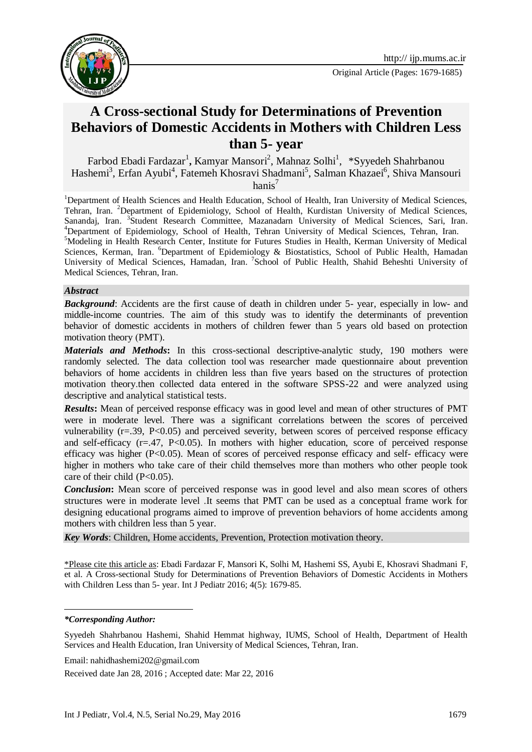

# **A Cross-sectional Study for Determinations of Prevention Behaviors of Domestic Accidents in Mothers with Children Less than 5- year**

Farbod Ebadi Fardazar<sup>1</sup>, Kamyar Mansori<sup>2</sup>, Mahnaz Solhi<sup>1</sup>, \*Syyedeh Shahrbanou Hashemi<sup>3</sup>, Erfan Ayubi<sup>4</sup>, Fatemeh Khosravi Shadmani<sup>5</sup>, Salman Khazaei<sup>6</sup>, Shiva Mansouri hanis<sup>7</sup>

<sup>1</sup>Department of Health Sciences and Health Education, School of Health, Iran University of Medical Sciences, Tehran, Iran. <sup>2</sup>Department of Epidemiology, School of Health, Kurdistan University of Medical Sciences, Sanandaj, Iran. <sup>3</sup> Student Research Committee, Mazanadarn University of Medical Sciences, Sari, Iran. <sup>4</sup>Department of Epidemiology, School of Health, Tehran University of Medical Sciences, Tehran, Iran. <sup>5</sup>Modeling in Health Research Center, Institute for Futures Studies in Health, Kerman University of Medical Sciences, Kerman, Iran. <sup>6</sup>Department of Epidemiology & Biostatistics, School of Public Health, Hamadan University of Medical Sciences, Hamadan, Iran. <sup>7</sup>School of Public Health, Shahid Beheshti University of Medical Sciences, Tehran, Iran.

#### *Abstract*

*Background*: Accidents are the first cause of death in children under 5- year, especially in low- and middle-income countries. The aim of this study was to identify the determinants of prevention behavior of domestic accidents in mothers of children fewer than 5 years old based on protection motivation theory (PMT).

*Materials and Methods***:** In this cross-sectional descriptive-analytic study, 190 mothers were randomly selected. The data collection tool was researcher made questionnaire about prevention behaviors of home accidents in children less than five years based on the structures of protection motivation theory.then collected data entered in the software SPSS-22 and were analyzed using descriptive and analytical statistical tests.

*Results***:** Mean of perceived response efficacy was in good level and mean of other structures of PMT were in moderate level. There was a significant correlations between the scores of perceived vulnerability  $(r=0.39, P<0.05)$  and perceived severity, between scores of perceived response efficacy and self-efficacy  $(r=.47, P<0.05)$ . In mothers with higher education, score of perceived response efficacy was higher  $(P<0.05)$ . Mean of scores of perceived response efficacy and self- efficacy were higher in mothers who take care of their child themselves more than mothers who other people took care of their child  $(P<0.05)$ .

*Conclusion***:** Mean score of perceived response was in good level and also mean scores of others structures were in moderate level .It seems that PMT can be used as a conceptual frame work for designing educational programs aimed to improve of prevention behaviors of home accidents among mothers with children less than 5 year.

*Key Words*: Children, Home accidents, Prevention, Protection motivation theory.

\*Please cite this article as: Ebadi Fardazar F, Mansori K, Solhi M, Hashemi SS, Ayubi E, Khosravi ShadmaniF, et al. A Cross-sectional Study for Determinations of Prevention Behaviors of Domestic Accidents in Mothers with Children Less than 5- year. Int J Pediatr 2016; 4(5): 1679-85.

**.** 

*<sup>\*</sup>Corresponding Author:*

Syyedeh Shahrbanou Hashemi, Shahid Hemmat highway, IUMS, School of Health, Department of Health Services and Health Education, Iran University of Medical Sciences, Tehran, Iran.

Email: nahidhashemi202@gmail.com

Received date Jan 28, 2016 ; Accepted date: Mar 22, 2016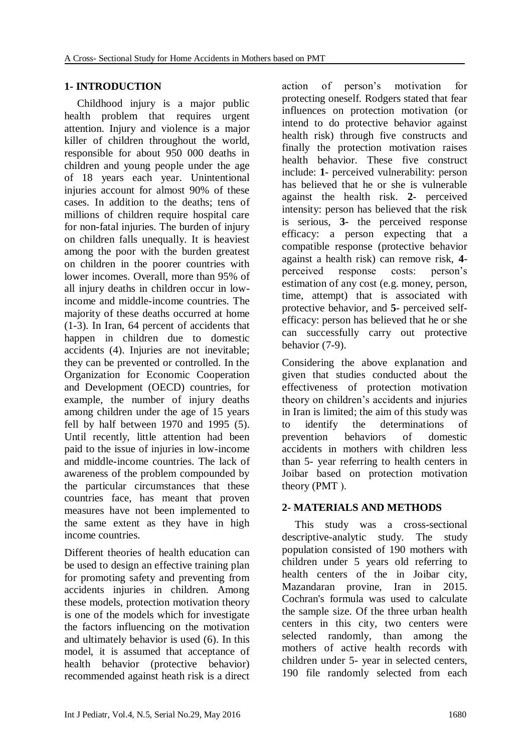#### **1- INTRODUCTION**

Childhood injury is a major public health problem that requires urgent attention. Injury and violence is a major killer of children throughout the world, responsible for about 950 000 deaths in children and young people under the age of 18 years each year. Unintentional injuries account for almost 90% of these cases. In addition to the deaths; tens of millions of children require hospital care for non-fatal injuries. The burden of injury on children falls unequally. It is heaviest among the poor with the burden greatest on children in the poorer countries with lower incomes. Overall, more than 95% of all injury deaths in children occur in lowincome and middle-income countries. The majority of these deaths occurred at home [\(1-3\)](#page-5-0). In Iran, 64 percent of accidents that happen in children due to domestic accidents [\(4\)](#page-6-0). Injuries are not inevitable; they can be prevented or controlled. In the Organization for Economic Cooperation and Development (OECD) countries, for example, the number of injury deaths among children under the age of 15 years fell by half between 1970 and 1995 [\(5\)](#page-6-1). Until recently, little attention had been paid to the issue of injuries in low-income and middle-income countries. The lack of awareness of the problem compounded by the particular circumstances that these countries face, has meant that proven measures have not been implemented to the same extent as they have in high income countries.

Different theories of health education can be used to design an effective training plan for promoting safety and preventing from accidents injuries in children. Among these models, protection motivation theory is one of the models which for investigate the factors influencing on the motivation and ultimately behavior is used [\(6\)](#page-6-2). In this model, it is assumed that acceptance of health behavior (protective behavior) recommended against heath risk is a direct

action of person's motivation for protecting oneself. Rodgers stated that fear influences on protection motivation (or intend to do protective behavior against health risk) through five constructs and finally the protection motivation raises health behavior. These five construct include: **1**- perceived vulnerability: person has believed that he or she is vulnerable against the health risk. **2**- perceived intensity: person has believed that the risk is serious, **3**- the perceived response efficacy: a person expecting that a compatible response (protective behavior against a health risk) can remove risk, **4** perceived response costs: person's estimation of any cost (e.g. money, person, time, attempt) that is associated with protective behavior, and **5**- perceived selfefficacy: person has believed that he or she can successfully carry out protective behavior [\(7-9\)](#page-6-3).

Considering the above explanation and given that studies conducted about the effectiveness of protection motivation theory on children's accidents and injuries in Iran is limited; the aim of this study was to identify the determinations of prevention behaviors of domestic accidents in mothers with children less than 5- year referring to health centers in Joibar based on protection motivation theory (PMT).

## **2- MATERIALS AND METHODS**

This study was a cross-sectional descriptive-analytic study. The study population consisted of 190 mothers with children under 5 years old referring to health centers of the in Joibar city, Mazandaran provine, Iran in 2015. Cochran's formula was used to calculate the sample size. Of the three urban health centers in this city, two centers were selected randomly, than among the mothers of active health records with children under 5- year in selected centers, 190 file randomly selected from each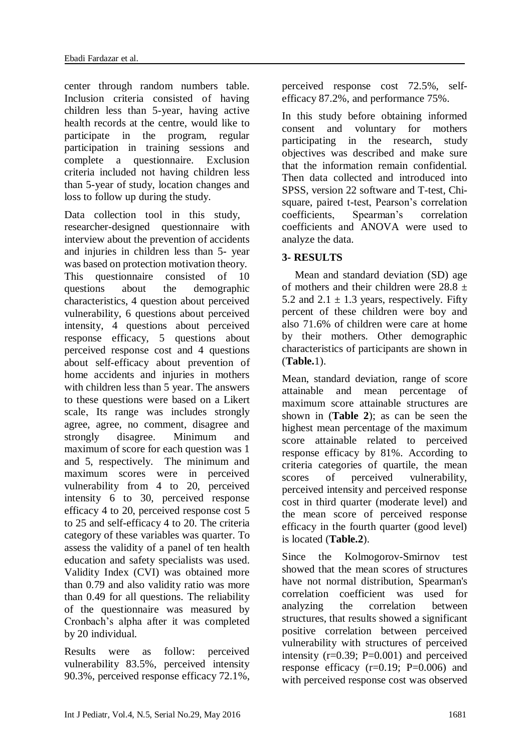center through random numbers table. Inclusion criteria consisted of having children less than 5-year, having active health records at the centre, would like to participate in the program, regular participation in training sessions and complete a questionnaire. Exclusion criteria included not having children less than 5-year of study, location changes and loss to follow up during the study.

Data collection tool in this study, researcher-designed questionnaire with interview about the prevention of accidents and injuries in children less than 5- year was based on protection motivation theory. This questionnaire consisted of 10 questions about the demographic characteristics, 4 question about perceived vulnerability, 6 questions about perceived intensity, 4 questions about perceived response efficacy, 5 questions about perceived response cost and 4 questions about self-efficacy about prevention of home accidents and injuries in mothers with children less than 5 year. The answers to these questions were based on a Likert scale, Its range was includes strongly agree, agree, no comment, disagree and strongly disagree. Minimum and maximum of score for each question was 1 and 5, respectively. The minimum and maximum scores were in perceived vulnerability from 4 to 20, perceived intensity 6 to 30, perceived response efficacy 4 to 20, perceived response cost 5 to 25 and self-efficacy 4 to 20. The criteria category of these variables was quarter. To assess the validity of a panel of ten health education and safety specialists was used. Validity Index (CVI) was obtained more than 0.79 and also validity ratio was more than 0.49 for all questions. The reliability of the questionnaire was measured by Cronbach's alpha after it was completed by 20 individual.

Results were as follow: perceived vulnerability 83.5%, perceived intensity 90.3%, perceived response efficacy 72.1%, perceived response cost 72.5%, selfefficacy 87.2%, and performance 75%.

In this study before obtaining informed consent and voluntary for mothers participating in the research, study objectives was described and make sure that the information remain confidential. Then data collected and introduced into SPSS, version 22 software and T-test, Chisquare, paired t-test, Pearson's correlation coefficients, Spearman's correlation coefficients and ANOVA were used to analyze the data.

#### **3- RESULTS**

Mean and standard deviation (SD) age of mothers and their children were  $28.8 \pm$ 5.2 and 2.1  $\pm$  1.3 years, respectively. Fifty percent of these children were boy and also 71.6% of children were care at home by their mothers. Other demographic characteristics of participants are shown in (**Table.**1).

Mean, standard deviation, range of score attainable and mean percentage of maximum score attainable structures are shown in (**Table 2**); as can be seen the highest mean percentage of the maximum score attainable related to perceived response efficacy by 81%. According to criteria categories of quartile, the mean scores of perceived vulnerability, perceived intensity and perceived response cost in third quarter (moderate level) and the mean score of perceived response efficacy in the fourth quarter (good level) is located (**Table.2**).

Since the Kolmogorov-Smirnov test showed that the mean scores of structures have not normal distribution, Spearman's correlation coefficient was used for analyzing the correlation between structures, that results showed a significant positive correlation between perceived vulnerability with structures of perceived intensity  $(r=0.39; P=0.001)$  and perceived response efficacy  $(r=0.19; P=0.006)$  and with perceived response cost was observed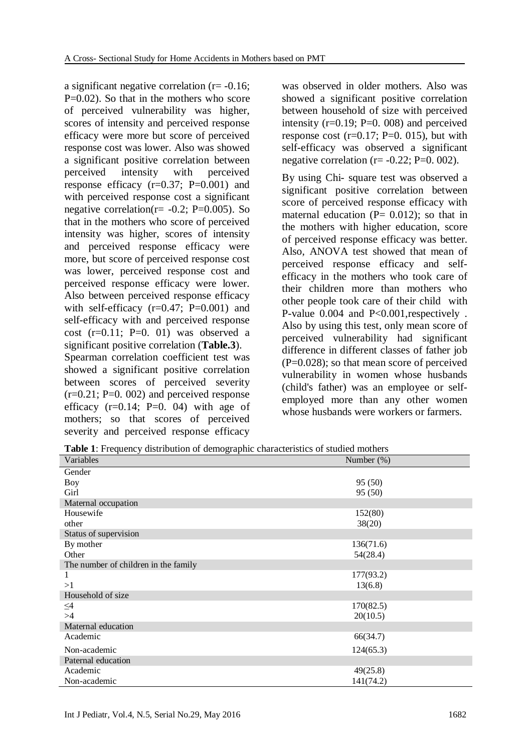a significant negative correlation (r= -0.16; P=0.02). So that in the mothers who score of perceived vulnerability was higher, scores of intensity and perceived response efficacy were more but score of perceived response cost was lower. Also was showed a significant positive correlation between perceived intensity with perceived response efficacy  $(r=0.37; P=0.001)$  and with perceived response cost a significant negative correlation( $r = -0.2$ ; P=0.005). So that in the mothers who score of perceived intensity was higher, scores of intensity and perceived response efficacy were more, but score of perceived response cost was lower, perceived response cost and perceived response efficacy were lower. Also between perceived response efficacy with self-efficacy  $(r=0.47; P=0.001)$  and self-efficacy with and perceived response cost  $(r=0.11; P=0.01)$  was observed a significant positive correlation (**Table.3**).

Spearman correlation coefficient test was showed a significant positive correlation between scores of perceived severity  $(r=0.21; P=0.002)$  and perceived response efficacy  $(r=0.14; P=0.04)$  with age of mothers; so that scores of perceived severity and perceived response efficacy

was observed in older mothers. Also was showed a significant positive correlation between household of size with perceived intensity  $(r=0.19; P=0.008)$  and perceived response cost  $(r=0.17; P=0.015)$ , but with self-efficacy was observed a significant negative correlation ( $r = -0.22$ ; P=0. 002).

By using Chi- square test was observed a significant positive correlation between score of perceived response efficacy with maternal education  $(P= 0.012)$ ; so that in the mothers with higher education, score of perceived response efficacy was better. Also, ANOVA test showed that mean of perceived response efficacy and selfefficacy in the mothers who took care of their children more than mothers who other people took care of their child with P-value 0.004 and P<0.001,respectively . Also by using this test, only mean score of perceived vulnerability had significant difference in different classes of father job  $(P=0.028)$ ; so that mean score of perceived vulnerability in women whose husbands (child's father) was an employee or selfemployed more than any other women whose husbands were workers or farmers.

**Table 1**: Frequency distribution of demographic characteristics of studied mothers

| Variables                            | Number $(\%)$ |
|--------------------------------------|---------------|
| Gender                               |               |
| <b>Boy</b>                           | 95 (50)       |
| Girl                                 | 95 (50)       |
| Maternal occupation                  |               |
| Housewife                            | 152(80)       |
| other                                | 38(20)        |
| Status of supervision                |               |
| By mother                            | 136(71.6)     |
| Other                                | 54(28.4)      |
| The number of children in the family |               |
| 1                                    | 177(93.2)     |
| >1                                   | 13(6.8)       |
| Household of size                    |               |
| $\leq$ 4                             | 170(82.5)     |
| >4                                   | 20(10.5)      |
| Maternal education                   |               |
| Academic                             | 66(34.7)      |
| Non-academic                         | 124(65.3)     |
| Paternal education                   |               |
| Academic                             | 49(25.8)      |
| Non-academic                         | 141(74.2)     |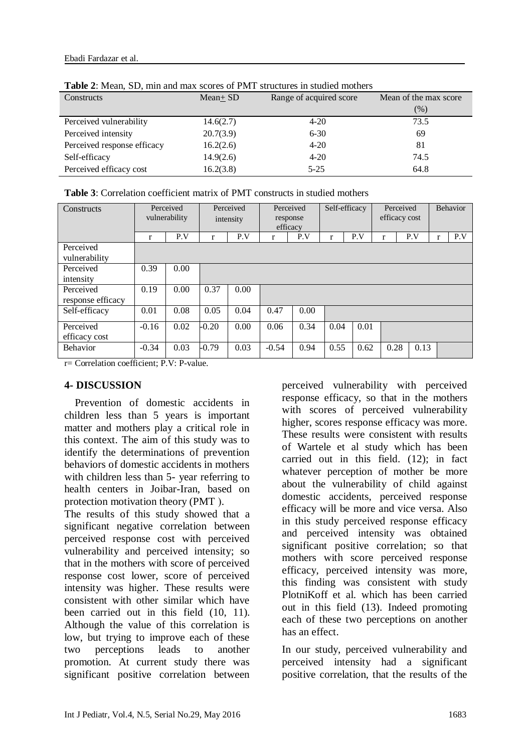| Constructs                  | $Mean + SD$ | Range of acquired score | Mean of the max score |  |  |  |  |  |
|-----------------------------|-------------|-------------------------|-----------------------|--|--|--|--|--|
|                             |             |                         | $(\%)$                |  |  |  |  |  |
| Perceived vulnerability     | 14.6(2.7)   | $4 - 20$                | 73.5                  |  |  |  |  |  |
| Perceived intensity         | 20.7(3.9)   | $6 - 30$                | 69                    |  |  |  |  |  |
| Perceived response efficacy | 16.2(2.6)   | $4 - 20$                | 81                    |  |  |  |  |  |
| Self-efficacy               | 14.9(2.6)   | $4 - 20$                | 74.5                  |  |  |  |  |  |
| Perceived efficacy cost     | 16.2(3.8)   | $5 - 25$                | 64.8                  |  |  |  |  |  |

**Table 2**: Mean, SD, min and max scores of PMT structures in studied mothers

| <b>Table 3:</b> Correlation coefficient matrix of PMT constructs in studied mothers |  |
|-------------------------------------------------------------------------------------|--|
|                                                                                     |  |

| Constructs        |         | Perceived<br>vulnerability |         | Perceived<br>Perceived<br>response<br>intensity<br>efficacy |         |      | Self-efficacy |      | Perceived<br>efficacy cost |      | <b>Behavior</b> |     |
|-------------------|---------|----------------------------|---------|-------------------------------------------------------------|---------|------|---------------|------|----------------------------|------|-----------------|-----|
|                   | r       | P.V                        | r       | P.V                                                         | r       | P.V  | r             | P.V  | r                          | P.V  | r               | P.V |
| Perceived         |         |                            |         |                                                             |         |      |               |      |                            |      |                 |     |
| vulnerability     |         |                            |         |                                                             |         |      |               |      |                            |      |                 |     |
| Perceived         | 0.39    | 0.00                       |         |                                                             |         |      |               |      |                            |      |                 |     |
| intensity         |         |                            |         |                                                             |         |      |               |      |                            |      |                 |     |
| Perceived         | 0.19    | 0.00                       | 0.37    | 0.00                                                        |         |      |               |      |                            |      |                 |     |
| response efficacy |         |                            |         |                                                             |         |      |               |      |                            |      |                 |     |
| Self-efficacy     | 0.01    | 0.08                       | 0.05    | 0.04                                                        | 0.47    | 0.00 |               |      |                            |      |                 |     |
| Perceived         | $-0.16$ | 0.02                       | $-0.20$ | 0.00                                                        | 0.06    | 0.34 | 0.04          | 0.01 |                            |      |                 |     |
| efficacy cost     |         |                            |         |                                                             |         |      |               |      |                            |      |                 |     |
| <b>Behavior</b>   | $-0.34$ | 0.03                       | $-0.79$ | 0.03                                                        | $-0.54$ | 0.94 | 0.55          | 0.62 | 0.28                       | 0.13 |                 |     |

r= Correlation coefficient; P.V: P-value.

#### **4- DISCUSSION**

 Prevention of domestic accidents in children less than 5 years is important matter and mothers play a critical role in this context. The aim of this study was to identify the determinations of prevention behaviors of domestic accidents in mothers with children less than 5- year referring to health centers in Joibar-Iran, based on protection motivation theory (PMT).

The results of this study showed that a significant negative correlation between perceived response cost with perceived vulnerability and perceived intensity; so that in the mothers with score of perceived response cost lower, score of perceived intensity was higher. These results were consistent with other similar which have been carried out in this field [\(10,](#page-6-4) [11\)](#page-6-5). Although the value of this correlation is low, but trying to improve each of these two perceptions leads to another promotion. At current study there was significant positive correlation between

perceived vulnerability with perceived response efficacy, so that in the mothers with scores of perceived vulnerability higher, scores response efficacy was more. These results were consistent with results of Wartele et al study which has been carried out in this field. [\(12\)](#page-6-6); in fact whatever perception of mother be more about the vulnerability of child against domestic accidents, perceived response efficacy will be more and vice versa. Also in this study perceived response efficacy and perceived intensity was obtained significant positive correlation; so that mothers with score perceived response efficacy, perceived intensity was more, this finding was consistent with study PlotniKoff et al. which has been carried out in this field [\(13\)](#page-6-7). Indeed promoting each of these two perceptions on another has an effect.

In our study, perceived vulnerability and perceived intensity had a significant positive correlation, that the results of the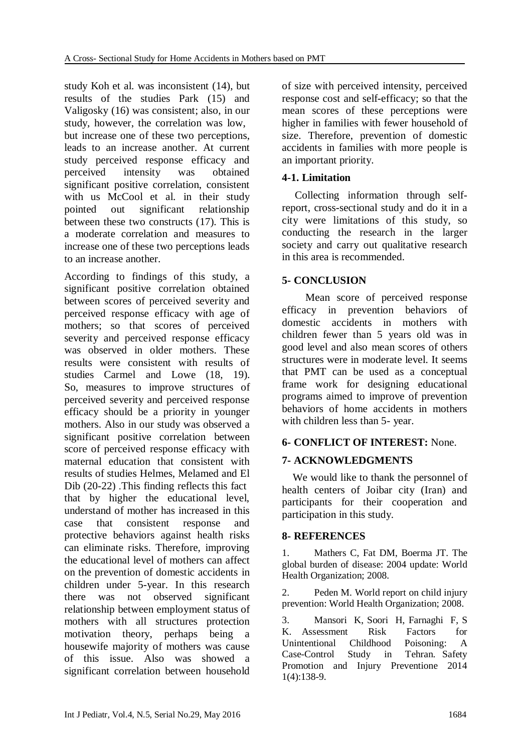study Koh et al. was inconsistent [\(14\)](#page-6-8), but results of the studies Park [\(15\)](#page-6-9) and Valigosky [\(16\)](#page-6-10) was consistent; also, in our study, however, the correlation was low, but increase one of these two perceptions, leads to an increase another. At current study perceived response efficacy and perceived intensity was obtained significant positive correlation, consistent with us McCool et al. in their study pointed out significant relationship between these two constructs [\(17\)](#page-6-11). This is a moderate correlation and measures to increase one of these two perceptions leads to an increase another.

According to findings of this study, a significant positive correlation obtained between scores of perceived severity and perceived response efficacy with age of mothers; so that scores of perceived severity and perceived response efficacy was observed in older mothers. These results were consistent with results of studies Carmel and Lowe [\(18,](#page-6-12) [19\)](#page-6-13). So, measures to improve structures of perceived severity and perceived response efficacy should be a priority in younger mothers. Also in our study was observed a significant positive correlation between score of perceived response efficacy with maternal education that consistent with results of studies Helmes, Melamed and El Dib [\(20-22\)](#page-6-14) .This finding reflects this fact that by higher the educational level, understand of mother has increased in this case that consistent response and protective behaviors against health risks can eliminate risks. Therefore, improving the educational level of mothers can affect on the prevention of domestic accidents in children under 5-year. In this research there was not observed significant relationship between employment status of mothers with all structures protection motivation theory, perhaps being a housewife majority of mothers was cause of this issue. Also was showed a significant correlation between household of size with perceived intensity, perceived response cost and self-efficacy; so that the mean scores of these perceptions were higher in families with fewer household of size. Therefore, prevention of domestic accidents in families with more people is an important priority.

#### **4-1. Limitation**

Collecting information through selfreport, cross-sectional study and do it in a city were limitations of this study, so conducting the research in the larger society and carry out qualitative research in this area is recommended.

## **5- CONCLUSION**

 Mean score of perceived response efficacy in prevention behaviors of domestic accidents in mothers with children fewer than 5 years old was in good level and also mean scores of others structures were in moderate level. It seems that PMT can be used as a conceptual frame work for designing educational programs aimed to improve of prevention behaviors of home accidents in mothers with children less than 5- year.

#### **6- CONFLICT OF INTEREST:** None.

## **7- ACKNOWLEDGMENTS**

 We would like to thank the personnel of health centers of Joibar city (Iran) and participants for their cooperation and participation in this study.

#### **8- REFERENCES**

<span id="page-5-0"></span>1. Mathers C, Fat DM, Boerma JT. The global burden of disease: 2004 update: World Health Organization; 2008.

2. Peden M. World report on child injury prevention: World Health Organization; 2008.

3. Mansori K, Soori H, Farnaghi F, S K. Assessment Risk Factors for Unintentional Childhood Poisoning: A Case-Control Study in Tehran. Safety Promotion and Injury Preventione 2014 1(4):138-9.